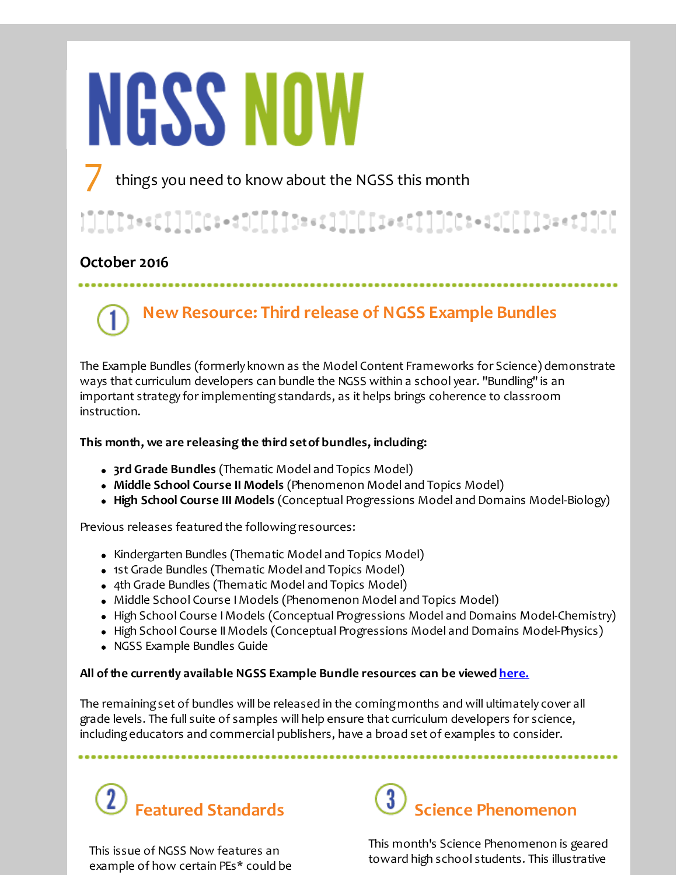# **NGSS NOW**

things you need to know about the NGSS this month

## 

## **October 2016**

# **New Resource: Third release of NGSS Example Bundles**

The Example Bundles (formerly known as the Model Content Frameworks for Science) demonstrate ways that curriculum developers can bundle the NGSS within a school year. "Bundling" is an important strategy for implementingstandards, as it helps brings coherence to classroom instruction.

## **This month, we are releasing the third setof bundles, including:**

- **3rd Grade Bundles** (Thematic Model and Topics Model)
- **Middle School Course II Models** (Phenomenon Model and Topics Model)
- **High School Course III Models** (Conceptual Progressions Model and Domains Model-Biology)

Previous releases featured the following resources:

- Kindergarten Bundles (Thematic Model and Topics Model)
- 1st Grade Bundles (Thematic Model and Topics Model)
- 4th Grade Bundles (Thematic Model and Topics Model)
- Middle School Course IModels (Phenomenon Model and Topics Model)
- High School Course I Models (Conceptual Progressions Model and Domains Model-Chemistry)
- High School Course IIModels (Conceptual Progressions Model and Domains Model-Physics)
- NGSS Example Bundles Guide

## **All ofthe currently available NGSS Example Bundle resources can be viewed [here.](http://r20.rs6.net/tn.jsp?f=001OtXdtYM2IVO6YVl9KmSxIczMIjiILPlR6G0w7FyHdqUi7VC-ryt6afhvDZd0dd3Bf4_WX2BEutm6gqqqP9DdGDi-PKjo0v9lWjREz1soLan_zPjiDI3IJkWIo5oAgioSKR0Yx9xs2lB7t6c80Mg4X_2x7nmiY5zbhCCRLjJ0FzagDwDLMyk_8rDAM42A4bBlArD5-WhNIgNOqSXkeKXs8Q==&c=&ch=)**

The remainingset of bundles will be released in the comingmonths and will ultimately cover all grade levels. The full suite of samples will help ensure that curriculum developers for science, includingeducators and commercial publishers, have a broad set of examples to consider.

...........................



This issue of NGSS Now features an example of how certain PEs\* could be



This month's Science Phenomenon is geared toward high school students. This illustrative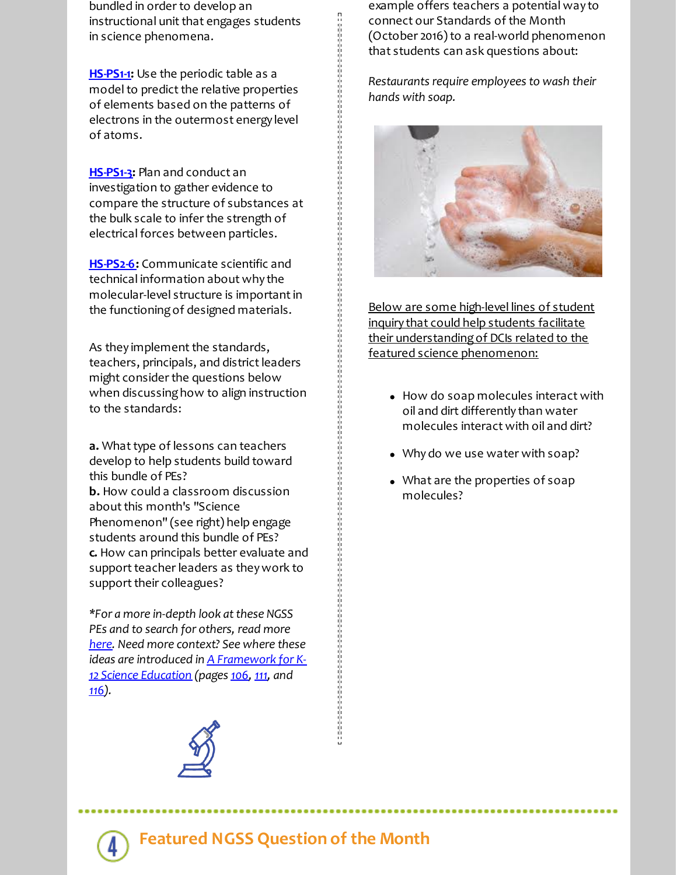bundled in order to develop an instructional unit that engages students in science phenomena.

**[HS-PS1-1](http://r20.rs6.net/tn.jsp?f=001OtXdtYM2IVO6YVl9KmSxIczMIjiILPlR6G0w7FyHdqUi7VC-ryt6aa12ez3KXkYN2RDGBN8Fj1WAjLkmlqIQNhtOgr6OGD-AmuM2B2l4K0kaHrDTNISZ7equMG9b9u6dTqN2I-hYQMuVuaBsBuyFC-UV5zVYMjsPxSPr60blxCURQpPg0zqToeSzUyIs2OkT4AwdKJwBYTl2C4BE3ncYbqa6wv39iz2NsiFdly7y6_KOZXu85kuDdRmJI0bH7-LT&c=&ch=):** Use the periodic table as a model to predict the relative properties of elements based on the patterns of electrons in the outermost energy level of atoms.

**[HS-PS1-3](http://r20.rs6.net/tn.jsp?f=001OtXdtYM2IVO6YVl9KmSxIczMIjiILPlR6G0w7FyHdqUi7VC-ryt6aa12ez3KXkYNgbAVPn_dWun-W-QKYJy427E6f0OGAlx8fZw6aa6ZsrYMO7T2FxNeBTBklbukX4PYnus3K3w8m3g3b7DbSUjZsMmSCxxlTMOoXSoQTRVqY-hdd0a8Zp6wqtUvhiD2PJ_C3oVxe_0zTi-kxSp1SzmUS-o06dj3fuF7RUpIho8SYv4=&c=&ch=):** Plan and conduct an investigation to gather evidence to compare the structure of substances at the bulk scale to infer the strength of electrical forces between particles.

**[HS-PS2-6:](http://r20.rs6.net/tn.jsp?f=001OtXdtYM2IVO6YVl9KmSxIczMIjiILPlR6G0w7FyHdqUi7VC-ryt6aa12ez3KXkYNV83ZLgaExDlcN6j6UhAhlEtXT2pr-0AzVvc90Je-wBcymkEALXpLer-KvqbPax06z8ib8ygZdoihklF1mkj27FerskIIXZfN2fqqIQOVoWjQwni4Sj5pGRDYCHzz6nXNjEx7ZCNUtGxT37vrrbDCbCeiHXTg4veeWUayvMY9Ydi3N4YJ7QJu_n7Fb-U9we30&c=&ch=)** Communicate scientific and technical information about why the molecular-level structure is important in the functioningof designed materials.

As they implement the standards, teachers, principals, and district leaders might consider the questions below when discussing how to align instruction to the standards:

**a.** What type of lessons can teachers develop to help students build toward this bundle of PEs?

**b.** How could a classroom discussion about this month's "Science Phenomenon" (see right) help engage students around this bundle of PEs? **c.** How can principals better evaluate and support teacher leaders as they work to support their colleagues?

*\*For a more in-depth look atthese NGSS PEs and to search for others, read more [here](http://r20.rs6.net/tn.jsp?f=001OtXdtYM2IVO6YVl9KmSxIczMIjiILPlR6G0w7FyHdqUi7VC-ryt6aXgH2-SjCvFOnhpLwpo6TppIrCM7yj5SUhGp2ziYG4cH3cMrybPVAz6_ZZYwCLTFDcrJhUPobb6w5uKnfsfEkvxp9r6k5nYWFz7YSAWVDFPfaGVgE6_VnaiLpvaDnZTUf0JYpvjd3Gixy0qM0FI8C_o=&c=&ch=). Need more context? See where these ideas are introduced in A [Framework](http://r20.rs6.net/tn.jsp?f=001OtXdtYM2IVO6YVl9KmSxIczMIjiILPlR6G0w7FyHdqUi7VC-ryt6aSc-UH5E7vO4PLTD0GDzJSOfOvoXvinQn5u3dYwim8FSGKqItuNNSbfPduJ5gJyzj8tVI6kwlZckX3d0QG_N7H9RjvQPxOLnXGQyVsfakwbEHwwOVXbDQHEGiuW3miuGwJQQxSwEnPveTSY9mq6u7XpdnfOdFbWZSw==&c=&ch=) for K-12 Science Education (pages [106](http://r20.rs6.net/tn.jsp?f=001OtXdtYM2IVO6YVl9KmSxIczMIjiILPlR6G0w7FyHdqUi7VC-ryt6aSc-UH5E7vO4tw9qAM52K9xMSmlmWKSuKlDoP-tN8dm38DXyc6Ty7K4lLook1PrEQ6u0Zqax3qQAwkcWU1cTCEZwtEn9Q_tVZoOf3b_DxQ7GT1qikWgkP2VkU4wOIFw0Z5UmAX1subtc65vKGIrZsTnhO_kzJWHYrw==&c=&ch=), [111,](http://r20.rs6.net/tn.jsp?f=001OtXdtYM2IVO6YVl9KmSxIczMIjiILPlR6G0w7FyHdqUi7VC-ryt6aa12ez3KXkYN75Y6BfC2pX8PnAKfBe1bpALMDKLergk6xAvccNY3Hhh83T0fJHL6Nvl25cYFlOd91bqV8NalzoDNJwxaORB85xku5FVyBgXQP7wJXw2r4LXCiwRikPjImqqIySz1rmx4o-dlql0XumvnLHQypJtyNw==&c=&ch=) and [116](http://r20.rs6.net/tn.jsp?f=001OtXdtYM2IVO6YVl9KmSxIczMIjiILPlR6G0w7FyHdqUi7VC-ryt6acC9jqzo8L0PO33W2VO4oRTlfkZdIdcttPAcdcNSamHEtHZ79yqkv3DDWcNE5CkjDRl4wefdEszwXePigQL0nXFUM6sOClZv35kyzqDm9_GjG079R7m1cdzd--seebnZSR2qx0I_fYu1DFhZ459REtSrRQspGYpUuQ==&c=&ch=)).*



*Restaurants require employees to wash their hands with soap.*

在这里的时候,我们的时候,我们的时候,我们的时候,我们的时候,我们的时候,我们的时候,我们的时候,我们的时候,我们的时候,我们的时候,我们的时候,我们的时候,我们



Below are some high-level lines of student inquiry that could help students facilitate their understandingof DCIs related to the featured science phenomenon:

- How do soap molecules interact with oil and dirt differently than water molecules interact with oil and dirt?
- Why do we use water with soap?
- What are the properties of soap molecules?

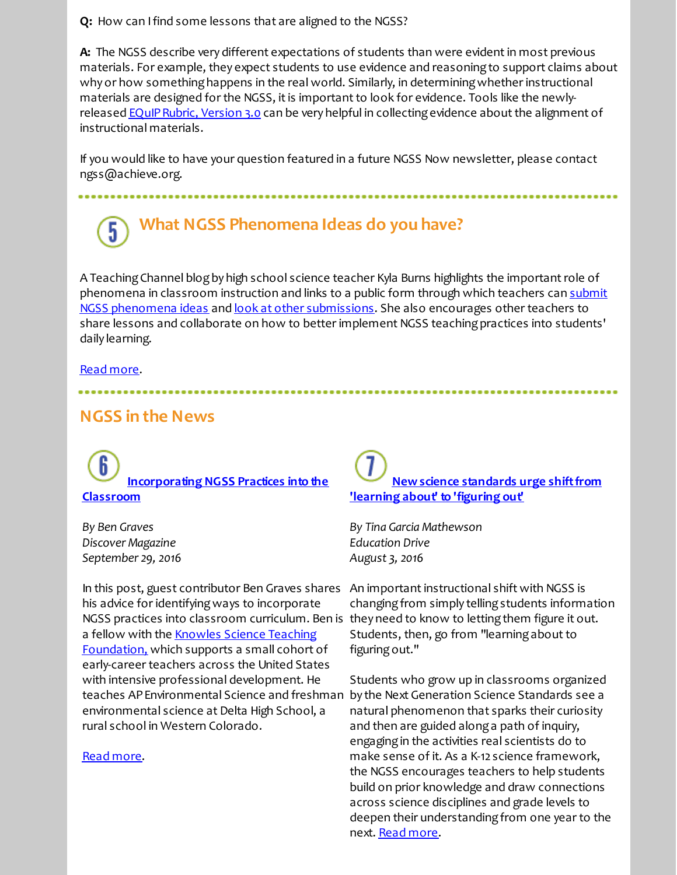**Q:** How can Ifind some lessons that are aligned to the NGSS?

**A:** The NGSS describe very different expectations of students than were evidentin most previous materials. For example, they expect students to use evidence and reasoningto support claims about why or how something happens in the real world. Similarly, in determining whether instructional materials are designed for the NGSS, it is important to look for evidence. Tools like the newlyreleased **EQuIP Rubric, Version 3.0** can be very helpful in collecting evidence about the alignment of instructional materials.

If you would like to have your question featured in a future NGSS Now newsletter, please contact ngss@achieve.org.

## **What NGSS Phenomena Ideas do you have?** 5

A Teaching Channel blog by high school science teacher Kyla Burns highlights the important role of phenomena in classroom instruction and links to a public form through which teachers can submit NGSS phenomena ideas and look at other [submissions.](http://r20.rs6.net/tn.jsp?f=001OtXdtYM2IVO6YVl9KmSxIczMIjiILPlR6G0w7FyHdqUi7VC-ryt6aQUsp1Mbmbh85mqwsQxkW61W0a9jmw0pmAeqfeTm29XxvD0ZCLYZOsyDGGqqWXXEGn7menVuBZAzWaciGobSsCR1k4L7XvYDxUX0ujobl97n_UgOHM1yjf77qXr-nfipyO8etp32RbVwFH_6jSQ4W_KJJk--U-4SAKEUDsNjS5IiGCW_hr6OBOtB9pm4ndlBh5uHRDO7iHYfbN6RgcI9T5eAjpSurS-jdS-QhDyGxzcK&c=&ch=) She also encourages other teachers to share lessons and collaborate on how to better implement NGSS teaching practices into students' daily learning.

## Read [more.](http://r20.rs6.net/tn.jsp?f=001OtXdtYM2IVO6YVl9KmSxIczMIjiILPlR6G0w7FyHdqUi7VC-ryt6aQUsp1Mbmbh8nyw_4snMt9dp4Nrn0kETffh_Mrhh9jxUBfMaPnEPKdOo8tphz5TGDWeQisbveunwzpq94b4NSbKCJ2-43SlVyTFrO_CQzAmciflsji-b1JH2p--gSxw0BbHQ8L-hwlkRpX3akPBHIo5mpY2rlcKCjJyjF1V2YFKUstiQjCKWm4Y=&c=&ch=)

## **NGSS in the News**

**[Incorporating](http://r20.rs6.net/tn.jsp?f=001OtXdtYM2IVO6YVl9KmSxIczMIjiILPlR6G0w7FyHdqUi7VC-ryt6aa12ez3KXkYNy96OSEi0ousLJVfGz1cCmfkpd9SfwZASF9vk3Fic_w-6zddGbZxaFAq1S0QkyS1wWUTJVJlCvg6qWR6TS8R-CGzKnf8yAYZUG9803SzKVhlGL-yxDNuX6jHCQsbAp36V5zdnLjo8CJpNLaplH4e7y5-KOx0bfDawMh5bbKukEB0Hh0x3Vs8bWdihHCCS9lC5o3PPe19sTduL5YlUBYVyYP4FvNLmSJwnkI-E5Ru6Q1zHKP-W-gP1_ph8EwSZF6vX&c=&ch=) NGSS Practices into the Classroom**

*By Ben Graves Discover Magazine September 29, 2016*

In this post, guest contributor Ben Graves shares An importantinstructional shift with NGSS is his advice for identifying ways to incorporate NGSS practices into classroom curriculum. Ben is they need to know to letting them figure it out. a fellow with the Knowles Science Teaching [Foundation,](http://r20.rs6.net/tn.jsp?f=001OtXdtYM2IVO6YVl9KmSxIczMIjiILPlR6G0w7FyHdqUi7VC-ryt6aa12ez3KXkYN-i8fRTFEXeQmLcWmhlUBy4X8QOWlBRsFH3ZMmSuh3-wVqrVZUpiF7r3unjGT7Feua8aqhQkk4LPbk85ny7EWbP-PKNvHdijJ&c=&ch=) which supports a small cohort of early-career teachers across the United States with intensive professional development. He teaches APEnvironmental Science and freshman environmental science at Delta High School, a rural school in Western Colorado.

## Read [more](http://r20.rs6.net/tn.jsp?f=001OtXdtYM2IVO6YVl9KmSxIczMIjiILPlR6G0w7FyHdqUi7VC-ryt6aa12ez3KXkYNy96OSEi0ousLJVfGz1cCmfkpd9SfwZASF9vk3Fic_w-6zddGbZxaFAq1S0QkyS1wWUTJVJlCvg6qWR6TS8R-CGzKnf8yAYZUG9803SzKVhlGL-yxDNuX6jHCQsbAp36V5zdnLjo8CJpNLaplH4e7y5-KOx0bfDawMh5bbKukEB0Hh0x3Vs8bWdihHCCS9lC5o3PPe19sTduL5YlUBYVyYP4FvNLmSJwnkI-E5Ru6Q1zHKP-W-gP1_ph8EwSZF6vX&c=&ch=).

**New science standards urge shift from 'learning about' to 'figuring out'**

*By Tina Garcia Mathewson Education Drive August 3, 2016*

changingfrom simply tellingstudents information Students, then, go from "learning about to figuringout."

Students who grow up in classrooms organized by the Next Generation Science Standards see a natural phenomenon that sparks their curiosity and then are guided alonga path of inquiry, engagingin the activities real scientists do to make sense of it. As a K-12 science framework, the NGSS encourages teachers to help students build on prior knowledge and draw connections across science disciplines and grade levels to deepen their understanding from one year to the next. Read [more](http://r20.rs6.net/tn.jsp?f=001OtXdtYM2IVO6YVl9KmSxIczMIjiILPlR6G0w7FyHdqUi7VC-ryt6aa12ez3KXkYN46g9PbHil-Y8p1TnaATbDg-NAyRO0Rj80TirfIC3qRA0-7hjRUGGklQmfbDKNAWCU36EVM8OCzSOFb4Mx8Qre7PWWRgC7RsYkz6t5kVHWRej8BorCCBW-eZNHTxsEbULFhGD8xcJC0hxpi9HzEblGM4XhqQWJadrsKEm7PyO3tQxt6CFMePbE04-pEMBoj_O6dMdqUMu2kcZ0xDi_whsIXPxHhr2YC7BIj8ZIUorW9c=&c=&ch=).